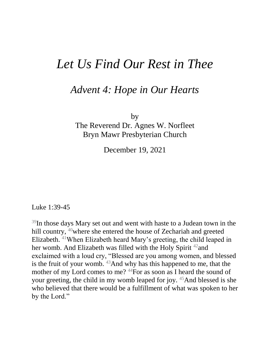## *Let Us Find Our Rest in Thee*

## *Advent 4: Hope in Our Hearts*

by

The Reverend Dr. Agnes W. Norfleet Bryn Mawr Presbyterian Church

December 19, 2021

Luke 1:39-45

<sup>39</sup>In those days Mary set out and went with haste to a Judean town in the hill country, <sup>40</sup>where she entered the house of Zechariah and greeted Elizabeth. <sup>41</sup>When Elizabeth heard Mary's greeting, the child leaped in her womb. And Elizabeth was filled with the Holy Spirit <sup>42</sup> and exclaimed with a loud cry, "Blessed are you among women, and blessed is the fruit of your womb.  $43$ And why has this happened to me, that the mother of my Lord comes to me? <sup>44</sup>For as soon as I heard the sound of your greeting, the child in my womb leaped for joy. <sup>45</sup>And blessed is she who believed that there would be a fulfillment of what was spoken to her by the Lord."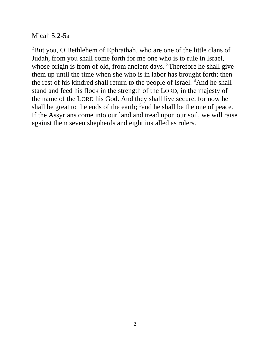Micah 5:2-5a

 $2$ But you, O Bethlehem of Ephrathah, who are one of the little clans of Judah, from you shall come forth for me one who is to rule in Israel, whose origin is from of old, from ancient days. <sup>3</sup>Therefore he shall give them up until the time when she who is in labor has brought forth; then the rest of his kindred shall return to the people of Israel. <sup>4</sup>And he shall stand and feed his flock in the strength of the LORD, in the majesty of the name of the LORD his God. And they shall live secure, for now he shall be great to the ends of the earth;  $5$  and he shall be the one of peace. If the Assyrians come into our land and tread upon our soil, we will raise against them seven shepherds and eight installed as rulers.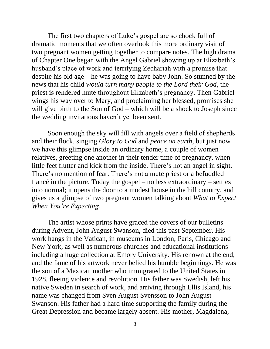The first two chapters of Luke's gospel are so chock full of dramatic moments that we often overlook this more ordinary visit of two pregnant women getting together to compare notes. The high drama of Chapter One began with the Angel Gabriel showing up at Elizabeth's husband's place of work and terrifying Zechariah with a promise that – despite his old age – he was going to have baby John. So stunned by the news that his child *would turn many people to the Lord their God*, the priest is rendered mute throughout Elizabeth's pregnancy. Then Gabriel wings his way over to Mary, and proclaiming her blessed, promises she will give birth to the Son of God – which will be a shock to Joseph since the wedding invitations haven't yet been sent.

 Soon enough the sky will fill with angels over a field of shepherds and their flock, singing *Glory to God* and *peace on earth*, but just now we have this glimpse inside an ordinary home, a couple of women relatives, greeting one another in their tender time of pregnancy, when little feet flutter and kick from the inside. There's not an angel in sight. There's no mention of fear. There's not a mute priest or a befuddled fiancé in the picture. Today the gospel – no less extraordinary – settles into normal; it opens the door to a modest house in the hill country, and gives us a glimpse of two pregnant women talking about *What to Expect When You're Expecting.* 

 The artist whose prints have graced the covers of our bulletins during Advent, John August Swanson, died this past September. His work hangs in the Vatican, in museums in London, Paris, Chicago and New York, as well as numerous churches and educational institutions including a huge collection at Emory University. His renown at the end, and the fame of his artwork never belied his humble beginnings. He was the son of a Mexican mother who immigrated to the United States in 1928, fleeing violence and revolution. His father was Swedish, left his native Sweden in search of work, and arriving through Ellis Island, his name was changed from Sven August Svensson to John August Swanson. His father had a hard time supporting the family during the Great Depression and became largely absent. His mother, Magdalena,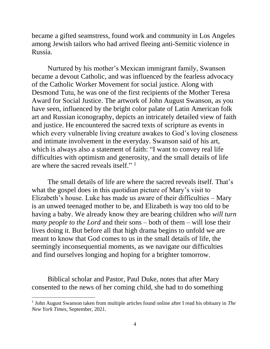became a gifted seamstress, found work and community in Los Angeles among Jewish tailors who had arrived fleeing anti-Semitic violence in Russia.

 Nurtured by his mother's Mexican immigrant family, Swanson became a devout Catholic, and was influenced by the fearless advocacy of the Catholic Worker Movement for social justice. Along with Desmond Tutu, he was one of the first recipients of the Mother Teresa Award for Social Justice. The artwork of John August Swanson, as you have seen, influenced by the bright color palate of Latin American folk art and Russian iconography, depicts an intricately detailed view of faith and justice. He encountered the sacred texts of scripture as events in which every vulnerable living creature awakes to God's loving closeness and intimate involvement in the everyday. Swanson said of his art, which is always also a statement of faith: "I want to convey real life difficulties with optimism and generosity, and the small details of life are where the sacred reveals itself."<sup>1</sup>

The small details of life are where the sacred reveals itself. That's what the gospel does in this quotidian picture of Mary's visit to Elizabeth's house. Luke has made us aware of their difficulties – Mary is an unwed teenaged mother to be, and Elizabeth is way too old to be having a baby. We already know they are bearing children who *will turn many people to the Lord* and their sons – both of them – will lose their lives doing it. But before all that high drama begins to unfold we are meant to know that God comes to us in the small details of life, the seemingly inconsequential moments, as we navigate our difficulties and find ourselves longing and hoping for a brighter tomorrow.

Biblical scholar and Pastor, Paul Duke, notes that after Mary consented to the news of her coming child, she had to do something

 $\overline{a}$ 

<sup>1</sup> John August Swanson taken from multiple articles found online after I read his obituary in *The New York Times*, September, 2021.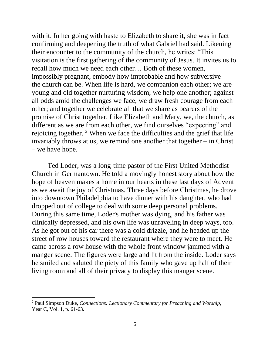with it. In her going with haste to Elizabeth to share it, she was in fact confirming and deepening the truth of what Gabriel had said. Likening their encounter to the community of the church, he writes: "This visitation is the first gathering of the community of Jesus. It invites us to recall how much we need each other… Both of these women, impossibly pregnant, embody how improbable and how subversive the church can be. When life is hard, we companion each other; we are young and old together nurturing wisdom; we help one another; against all odds amid the challenges we face, we draw fresh courage from each other; and together we celebrate all that we share as bearers of the promise of Christ together. Like Elizabeth and Mary, we, the church, as different as we are from each other, we find ourselves "expecting" and rejoicing together. <sup>2</sup> When we face the difficulties and the grief that life invariably throws at us, we remind one another that together – in Christ – we have hope.

Ted Loder, was a long-time pastor of the First United Methodist Church in Germantown. He told a movingly honest story about how the hope of heaven makes a home in our hearts in these last days of Advent as we await the joy of Christmas. Three days before Christmas, he drove into downtown Philadelphia to have dinner with his daughter, who had dropped out of college to deal with some deep personal problems. During this same time, Loder's mother was dying, and his father was clinically depressed, and his own life was unraveling in deep ways, too. As he got out of his car there was a cold drizzle, and he headed up the street of row houses toward the restaurant where they were to meet. He came across a row house with the whole front window jammed with a manger scene. The figures were large and lit from the inside. Loder says he smiled and saluted the piety of this family who gave up half of their living room and all of their privacy to display this manger scene.

 $\overline{a}$ 

<sup>2</sup> Paul Simpson Duke, *Connections: Lectionary Commentary for Preaching and Worship*, Year C, Vol. 1, p. 61-63.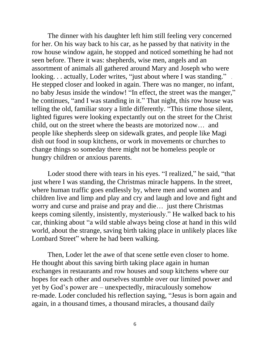The dinner with his daughter left him still feeling very concerned for her. On his way back to his car, as he passed by that nativity in the row house window again, he stopped and noticed something he had not seen before. There it was: shepherds, wise men, angels and an assortment of animals all gathered around Mary and Joseph who were looking. . . actually, Loder writes, "just about where I was standing." He stepped closer and looked in again. There was no manger, no infant, no baby Jesus inside the window! "In effect, the street was the manger," he continues, "and I was standing in it." That night, this row house was telling the old, familiar story a little differently. "This time those silent, lighted figures were looking expectantly out on the street for the Christ child, out on the street where the beasts are motorized now… and people like shepherds sleep on sidewalk grates, and people like Magi dish out food in soup kitchens, or work in movements or churches to change things so someday there might not be homeless people or hungry children or anxious parents.

 Loder stood there with tears in his eyes. "I realized," he said, "that just where I was standing, the Christmas miracle happens. In the street, where human traffic goes endlessly by, where men and women and children live and limp and play and cry and laugh and love and fight and worry and curse and praise and pray and die… just there Christmas keeps coming silently, insistently, mysteriously." He walked back to his car, thinking about "a wild stable always being close at hand in this wild world, about the strange, saving birth taking place in unlikely places like Lombard Street" where he had been walking.

Then, Loder let the awe of that scene settle even closer to home. He thought about this saving birth taking place again in human exchanges in restaurants and row houses and soup kitchens where our hopes for each other and ourselves stumble over our limited power and yet by God's power are – unexpectedly, miraculously somehow re-made. Loder concluded his reflection saying, "Jesus is born again and again, in a thousand times, a thousand miracles, a thousand daily